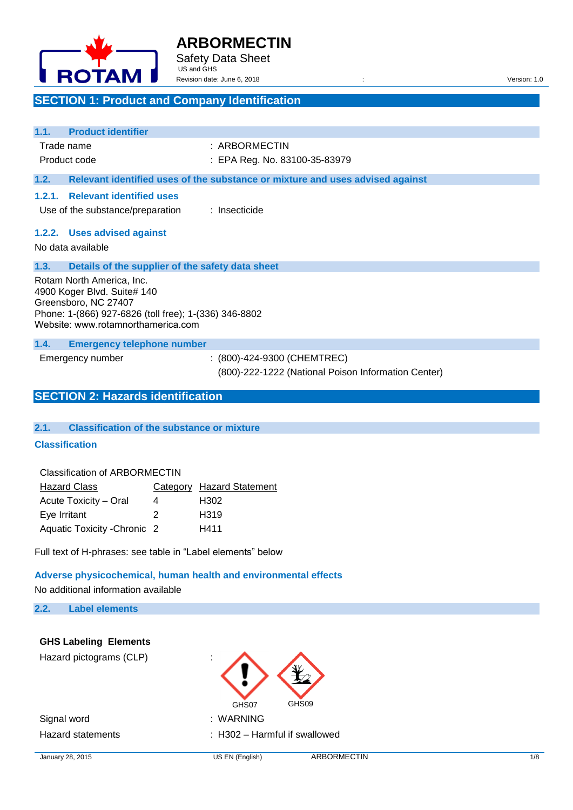

## **ARBORMECTIN** Safety Data Sheet

**SECTION 1: Product and Company Identification**

US and GHS

| Revision date: June 6, 2018 | Version:<br>1.0 |
|-----------------------------|-----------------|
|                             |                 |

| <b>Product identifier</b><br>1.1.                                                                                                                                               |                                                                               |
|---------------------------------------------------------------------------------------------------------------------------------------------------------------------------------|-------------------------------------------------------------------------------|
| Trade name                                                                                                                                                                      | : ARBORMECTIN                                                                 |
| Product code                                                                                                                                                                    | : EPA Reg. No. 83100-35-83979                                                 |
| 1.2.                                                                                                                                                                            | Relevant identified uses of the substance or mixture and uses advised against |
| <b>Relevant identified uses</b><br>1.2.1.<br>Use of the substance/preparation                                                                                                   | : Insecticide                                                                 |
| 1.2.2. Uses advised against<br>No data available                                                                                                                                |                                                                               |
| 1.3.<br>Details of the supplier of the safety data sheet                                                                                                                        |                                                                               |
| Rotam North America, Inc.<br>4900 Koger Blvd. Suite# 140<br>Greensboro, NC 27407<br>Phone: 1-(866) 927-6826 (toll free); 1-(336) 346-8802<br>Website: www.rotamnorthamerica.com |                                                                               |
| <b>Emergency telephone number</b><br>1.4.                                                                                                                                       |                                                                               |
| Emergency number                                                                                                                                                                | $(800)$ -424-9300 (CHEMTREC)                                                  |
|                                                                                                                                                                                 | (800)-222-1222 (National Poison Information Center)                           |
| <b>SECTION 2: Hazards identification</b>                                                                                                                                        |                                                                               |

## **2.1. Classification of the substance or mixture**

#### **Classification**

| Classification of ARBORMECTIN |  |   |                           |  |
|-------------------------------|--|---|---------------------------|--|
| <b>Hazard Class</b>           |  |   | Category Hazard Statement |  |
| Acute Toxicity – Oral         |  | 4 | H302                      |  |
| Eye Irritant                  |  | 2 | H319                      |  |

Aquatic Toxicity -Chronic 2 H411

Full text of H-phrases: see table in "Label elements" below

## **Adverse physicochemical, human health and environmental effects**  No additional information available

## **2.2. Label elements**

## **GHS Labeling Elements**

Hazard pictograms (CLP) :

Signal word : WARNING

GHS07 GHS09

Hazard statements : H302 – Harmful if swallowed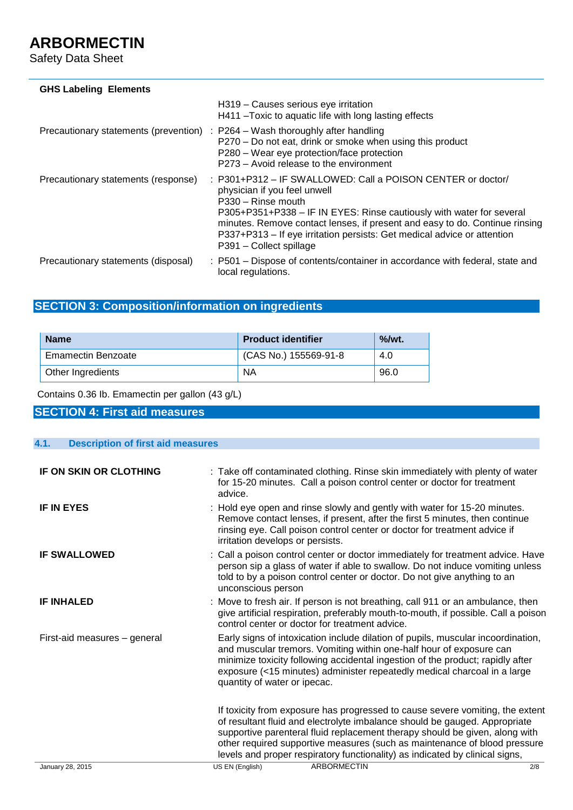Safety Data Sheet

| <b>GHS Labeling Elements</b>          |                                                                                                                                                                                                                                                                                                                                                                                |
|---------------------------------------|--------------------------------------------------------------------------------------------------------------------------------------------------------------------------------------------------------------------------------------------------------------------------------------------------------------------------------------------------------------------------------|
|                                       | H319 - Causes serious eye irritation<br>H411 – Toxic to aquatic life with long lasting effects                                                                                                                                                                                                                                                                                 |
| Precautionary statements (prevention) | $\therefore$ P264 – Wash thoroughly after handling<br>P270 – Do not eat, drink or smoke when using this product<br>P280 – Wear eye protection/face protection<br>P273 – Avoid release to the environment                                                                                                                                                                       |
| Precautionary statements (response)   | : P301+P312 - IF SWALLOWED: Call a POISON CENTER or doctor/<br>physician if you feel unwell<br>P330 - Rinse mouth<br>P305+P351+P338 - IF IN EYES: Rinse cautiously with water for several<br>minutes. Remove contact lenses, if present and easy to do. Continue rinsing<br>P337+P313 – If eye irritation persists: Get medical advice or attention<br>P391 - Collect spillage |
| Precautionary statements (disposal)   | : P501 – Dispose of contents/container in accordance with federal, state and<br>local regulations.                                                                                                                                                                                                                                                                             |

## **SECTION 3: Composition/information on ingredients**

| <b>Name</b>               | <b>Product identifier</b> | $\%$ /wt. |
|---------------------------|---------------------------|-----------|
| <b>Emamectin Benzoate</b> | (CAS No.) 155569-91-8     | 4.0       |
| Other Ingredients         | ΝA                        | 96.0      |

## Contains 0.36 Ib. Emamectin per gallon (43 g/L)

## **SECTION 4: First aid measures**

| 4.1.<br><b>Description of first aid measures</b> |                                                                                                                                                                                                                                                                                                                                                                                                         |
|--------------------------------------------------|---------------------------------------------------------------------------------------------------------------------------------------------------------------------------------------------------------------------------------------------------------------------------------------------------------------------------------------------------------------------------------------------------------|
|                                                  |                                                                                                                                                                                                                                                                                                                                                                                                         |
| IF ON SKIN OR CLOTHING                           | : Take off contaminated clothing. Rinse skin immediately with plenty of water<br>for 15-20 minutes. Call a poison control center or doctor for treatment<br>advice.                                                                                                                                                                                                                                     |
| <b>IF IN EYES</b>                                | : Hold eye open and rinse slowly and gently with water for 15-20 minutes.<br>Remove contact lenses, if present, after the first 5 minutes, then continue<br>rinsing eye. Call poison control center or doctor for treatment advice if<br>irritation develops or persists.                                                                                                                               |
| <b>IF SWALLOWED</b>                              | : Call a poison control center or doctor immediately for treatment advice. Have<br>person sip a glass of water if able to swallow. Do not induce vomiting unless<br>told to by a poison control center or doctor. Do not give anything to an<br>unconscious person                                                                                                                                      |
| <b>IF INHALED</b>                                | : Move to fresh air. If person is not breathing, call 911 or an ambulance, then<br>give artificial respiration, preferably mouth-to-mouth, if possible. Call a poison<br>control center or doctor for treatment advice.                                                                                                                                                                                 |
| First-aid measures - general                     | Early signs of intoxication include dilation of pupils, muscular incoordination,<br>and muscular tremors. Vomiting within one-half hour of exposure can<br>minimize toxicity following accidental ingestion of the product; rapidly after<br>exposure (<15 minutes) administer repeatedly medical charcoal in a large<br>quantity of water or ipecac.                                                   |
|                                                  | If toxicity from exposure has progressed to cause severe vomiting, the extent<br>of resultant fluid and electrolyte imbalance should be gauged. Appropriate<br>supportive parenteral fluid replacement therapy should be given, along with<br>other required supportive measures (such as maintenance of blood pressure<br>levels and proper respiratory functionality) as indicated by clinical signs, |
| January 28, 2015                                 | <b>ARBORMECTIN</b><br>US EN (English)<br>2/8                                                                                                                                                                                                                                                                                                                                                            |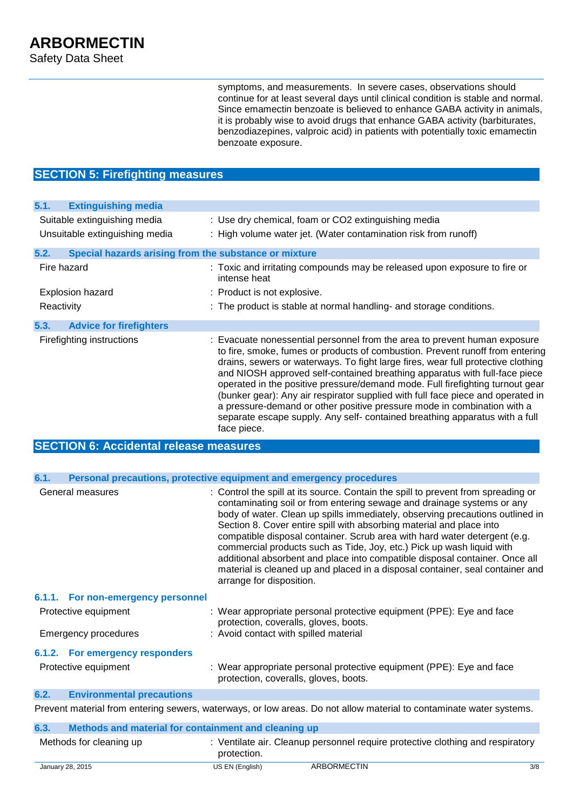symptoms, and measurements. In severe cases, observations should continue for at least several days until clinical condition is stable and normal. Since emamectin benzoate is believed to enhance GABA activity in animals, it is probably wise to avoid drugs that enhance GABA activity (barbiturates, benzodiazepines, valproic acid) in patients with potentially toxic emamectin benzoate exposure.

## **SECTION 5: Firefighting measures**

| 5.1.<br><b>Extinguishing media</b>                            |                                                                                                                                                                                                                                                                                                                                                                                                                                                                                                                                                                                                                                                                           |
|---------------------------------------------------------------|---------------------------------------------------------------------------------------------------------------------------------------------------------------------------------------------------------------------------------------------------------------------------------------------------------------------------------------------------------------------------------------------------------------------------------------------------------------------------------------------------------------------------------------------------------------------------------------------------------------------------------------------------------------------------|
| Suitable extinguishing media                                  | : Use dry chemical, foam or CO2 extinguishing media                                                                                                                                                                                                                                                                                                                                                                                                                                                                                                                                                                                                                       |
| Unsuitable extinguishing media                                | : High volume water jet. (Water contamination risk from runoff)                                                                                                                                                                                                                                                                                                                                                                                                                                                                                                                                                                                                           |
| 5.2.<br>Special hazards arising from the substance or mixture |                                                                                                                                                                                                                                                                                                                                                                                                                                                                                                                                                                                                                                                                           |
| Fire hazard                                                   | : Toxic and irritating compounds may be released upon exposure to fire or<br>intense heat                                                                                                                                                                                                                                                                                                                                                                                                                                                                                                                                                                                 |
| <b>Explosion hazard</b>                                       | : Product is not explosive.                                                                                                                                                                                                                                                                                                                                                                                                                                                                                                                                                                                                                                               |
| Reactivity                                                    | : The product is stable at normal handling- and storage conditions.                                                                                                                                                                                                                                                                                                                                                                                                                                                                                                                                                                                                       |
| <b>Advice for firefighters</b><br>5.3.                        |                                                                                                                                                                                                                                                                                                                                                                                                                                                                                                                                                                                                                                                                           |
| Firefighting instructions                                     | : Evacuate nonessential personnel from the area to prevent human exposure<br>to fire, smoke, fumes or products of combustion. Prevent runoff from entering<br>drains, sewers or waterways. To fight large fires, wear full protective clothing<br>and NIOSH approved self-contained breathing apparatus with full-face piece<br>operated in the positive pressure/demand mode. Full firefighting turnout gear<br>(bunker gear): Any air respirator supplied with full face piece and operated in<br>a pressure-demand or other positive pressure mode in combination with a<br>separate escape supply. Any self- contained breathing apparatus with a full<br>face piece. |
| <b>SECTION 6: Accidental release measures</b>                 |                                                                                                                                                                                                                                                                                                                                                                                                                                                                                                                                                                                                                                                                           |
|                                                               |                                                                                                                                                                                                                                                                                                                                                                                                                                                                                                                                                                                                                                                                           |
| 6.1.                                                          | Personal precautions, protective equipment and emergency procedures                                                                                                                                                                                                                                                                                                                                                                                                                                                                                                                                                                                                       |
| General measures                                              | Control the spill at its source. Contain the spill to prevent from spreading or<br>contaminating soil or from entering sewage and drainage systems or any<br>body of water. Clean up spills immediately, observing precautions outlined in<br>Section 8. Cover entire spill with absorbing material and place into<br>compatible disposal container. Scrub area with hard water detergent (e.g.<br>commercial products such as Tide, Joy, etc.) Pick up wash liquid with<br>additional absorbent and place into compatible disposal container. Once all<br>material is cleaned up and placed in a disposal container, seal container and<br>arrange for disposition.      |
| 6.1.1. For non-emergency personnel                            |                                                                                                                                                                                                                                                                                                                                                                                                                                                                                                                                                                                                                                                                           |
| Protective equipment                                          | : Wear appropriate personal protective equipment (PPE): Eye and face<br>protection, coveralls, gloves, boots.                                                                                                                                                                                                                                                                                                                                                                                                                                                                                                                                                             |
| Emergency procedures                                          | : Avoid contact with spilled material                                                                                                                                                                                                                                                                                                                                                                                                                                                                                                                                                                                                                                     |
| 6.1.2. For emergency responders                               |                                                                                                                                                                                                                                                                                                                                                                                                                                                                                                                                                                                                                                                                           |
| Protective equipment                                          | : Wear appropriate personal protective equipment (PPE): Eye and face                                                                                                                                                                                                                                                                                                                                                                                                                                                                                                                                                                                                      |

## **6.2. Environmental precautions**

Prevent material from entering sewers, waterways, or low areas. Do not allow material to contaminate water systems.

protection, coveralls, gloves, boots.

| 6.3. | Methods and material for containment and cleaning up |                 |                                                                                |     |
|------|------------------------------------------------------|-----------------|--------------------------------------------------------------------------------|-----|
|      | Methods for cleaning up                              | protection.     | : Ventilate air. Cleanup personnel require protective clothing and respiratory |     |
|      | January 28, 2015                                     | US EN (English) | ARBORMECTIN                                                                    | 3/8 |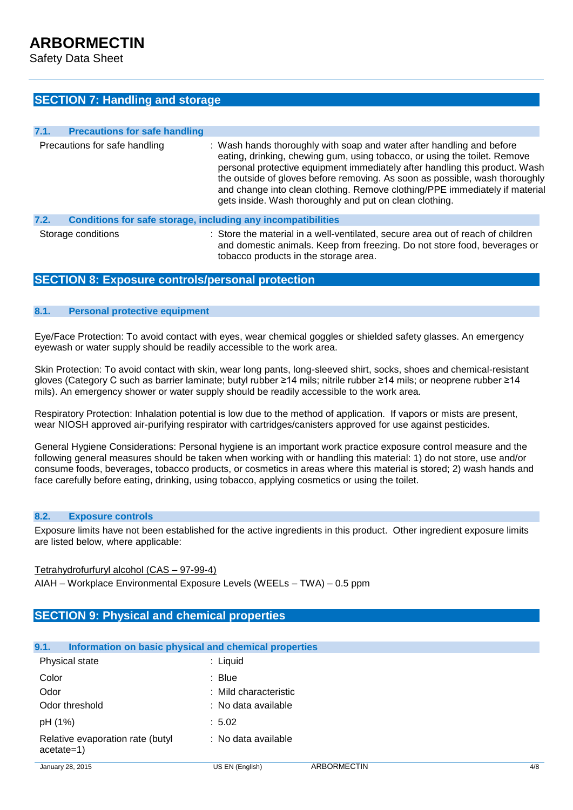Safety Data Sheet

## **SECTION 7: Handling and storage**

| 7.1. | <b>Precautions for safe handling</b>                         |                                                                                                                                                                                                                                                                                                                                                                                                                                                            |
|------|--------------------------------------------------------------|------------------------------------------------------------------------------------------------------------------------------------------------------------------------------------------------------------------------------------------------------------------------------------------------------------------------------------------------------------------------------------------------------------------------------------------------------------|
|      | Precautions for safe handling                                | : Wash hands thoroughly with soap and water after handling and before<br>eating, drinking, chewing gum, using tobacco, or using the toilet. Remove<br>personal protective equipment immediately after handling this product. Wash<br>the outside of gloves before removing. As soon as possible, wash thoroughly<br>and change into clean clothing. Remove clothing/PPE immediately if material<br>gets inside. Wash thoroughly and put on clean clothing. |
| 7.2. | Conditions for safe storage, including any incompatibilities |                                                                                                                                                                                                                                                                                                                                                                                                                                                            |
|      | Storage conditions                                           | : Store the material in a well-ventilated, secure area out of reach of children                                                                                                                                                                                                                                                                                                                                                                            |

tobacco products in the storage area.

and domestic animals. Keep from freezing. Do not store food, beverages or

## **SECTION 8: Exposure controls/personal protection**

## **8.1. Personal protective equipment**

Eye/Face Protection: To avoid contact with eyes, wear chemical goggles or shielded safety glasses. An emergency eyewash or water supply should be readily accessible to the work area.

Skin Protection: To avoid contact with skin, wear long pants, long-sleeved shirt, socks, shoes and chemical-resistant gloves (Category C such as barrier laminate; butyl rubber ≥14 mils; nitrile rubber ≥14 mils; or neoprene rubber ≥14 mils). An emergency shower or water supply should be readily accessible to the work area.

Respiratory Protection: Inhalation potential is low due to the method of application. If vapors or mists are present, wear NIOSH approved air-purifying respirator with cartridges/canisters approved for use against pesticides.

General Hygiene Considerations: Personal hygiene is an important work practice exposure control measure and the following general measures should be taken when working with or handling this material: 1) do not store, use and/or consume foods, beverages, tobacco products, or cosmetics in areas where this material is stored; 2) wash hands and face carefully before eating, drinking, using tobacco, applying cosmetics or using the toilet.

#### **8.2. Exposure controls**

Exposure limits have not been established for the active ingredients in this product. Other ingredient exposure limits are listed below, where applicable:

#### Tetrahydrofurfuryl alcohol (CAS – 97-99-4)

AIAH – Workplace Environmental Exposure Levels (WEELs – TWA) – 0.5 ppm

## **SECTION 9: Physical and chemical properties**

#### **9.1. Information on basic physical and chemical properties**

| Physical state                                   | : Liquid             |
|--------------------------------------------------|----------------------|
| Color                                            | $:$ Blue             |
| Odor                                             | :Mild characteristic |
| Odor threshold                                   | : No data available  |
| pH (1%)                                          | : 5.02               |
| Relative evaporation rate (butyl<br>$acetate=1)$ | : No data available  |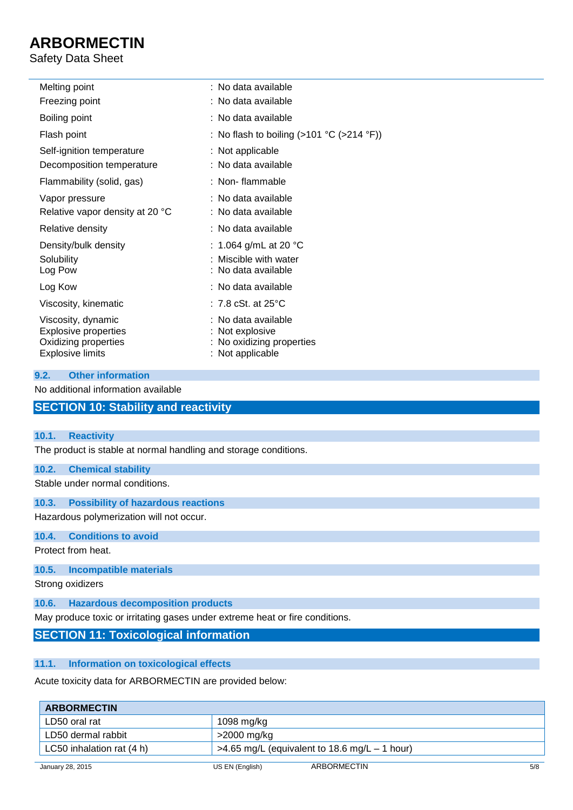## Safety Data Sheet

| Melting point                                                                                        | : No data available                                                                     |
|------------------------------------------------------------------------------------------------------|-----------------------------------------------------------------------------------------|
| Freezing point                                                                                       | : No data available                                                                     |
| Boiling point                                                                                        | : No data available                                                                     |
| Flash point                                                                                          | : No flash to boiling $(>101 \degree C~(>214 \degree F))$                               |
| Self-ignition temperature                                                                            | : Not applicable                                                                        |
| Decomposition temperature                                                                            | : No data available                                                                     |
| Flammability (solid, gas)                                                                            | : Non-flammable                                                                         |
| Vapor pressure                                                                                       | : No data available                                                                     |
| Relative vapor density at 20 °C                                                                      | : No data available                                                                     |
| Relative density                                                                                     | : No data available                                                                     |
| Density/bulk density                                                                                 | : 1.064 g/mL at 20 °C                                                                   |
| Solubility                                                                                           | : Miscible with water                                                                   |
| Log Pow                                                                                              | : No data available                                                                     |
| Log Kow                                                                                              | : No data available                                                                     |
| Viscosity, kinematic                                                                                 | : 7.8 cSt. at 25 $^{\circ}$ C                                                           |
| Viscosity, dynamic<br><b>Explosive properties</b><br>Oxidizing properties<br><b>Explosive limits</b> | : No data available<br>: Not explosive<br>: No oxidizing properties<br>: Not applicable |

## **9.2. Other information**

No additional information available

## **SECTION 10: Stability and reactivity**

## **10.1. Reactivity**

The product is stable at normal handling and storage conditions.

## **10.2. Chemical stability**

Stable under normal conditions.

**10.3. Possibility of hazardous reactions**

Hazardous polymerization will not occur.

## **10.4. Conditions to avoid**

Protect from heat.

### **10.5. Incompatible materials**

Strong oxidizers

**10.6. Hazardous decomposition products**

May produce toxic or irritating gases under extreme heat or fire conditions.

## **SECTION 11: Toxicological information**

## **11.1. Information on toxicological effects**

Acute toxicity data for ARBORMECTIN are provided below:

| <b>ARBORMECTIN</b>        |                 |                                                 |     |
|---------------------------|-----------------|-------------------------------------------------|-----|
| LD50 oral rat             | 1098 mg/kg      |                                                 |     |
| LD50 dermal rabbit        | >2000 mg/kg     |                                                 |     |
| LC50 inhalation rat (4 h) |                 | $>4.65$ mg/L (equivalent to 18.6 mg/L – 1 hour) |     |
| January 28, 2015          | US EN (English) | ARBORMECTIN                                     | 5/8 |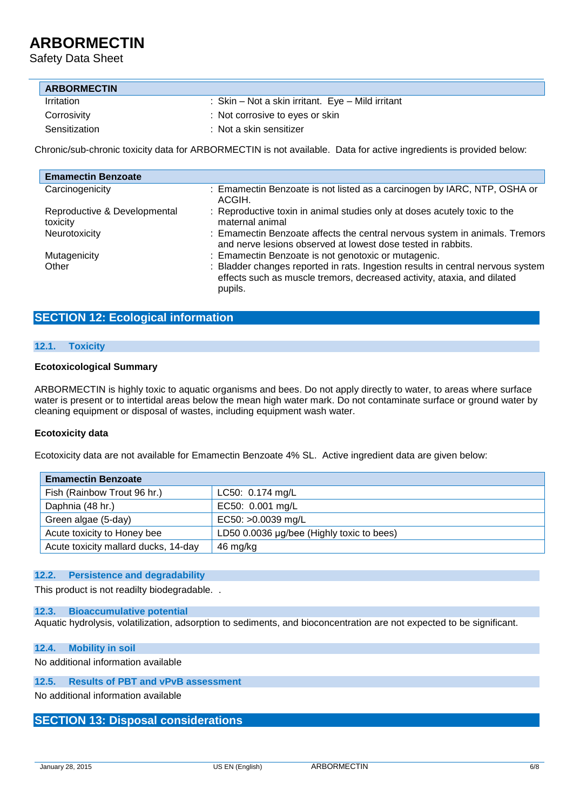Safety Data Sheet

| <b>ARBORMECTIN</b> |                                                   |
|--------------------|---------------------------------------------------|
| <b>Irritation</b>  | : Skin – Not a skin irritant. Eye – Mild irritant |
| Corrosivity        | : Not corrosive to eyes or skin                   |
| Sensitization      | $:$ Not a skin sensitizer                         |

Chronic/sub-chronic toxicity data for ARBORMECTIN is not available. Data for active ingredients is provided below:

| <b>Emamectin Benzoate</b>                |                                                                                                                                                                       |
|------------------------------------------|-----------------------------------------------------------------------------------------------------------------------------------------------------------------------|
| Carcinogenicity                          | : Emamectin Benzoate is not listed as a carcinogen by IARC, NTP, OSHA or<br>ACGIH.                                                                                    |
| Reproductive & Developmental<br>toxicity | : Reproductive toxin in animal studies only at doses acutely toxic to the<br>maternal animal                                                                          |
| Neurotoxicity                            | : Emamectin Benzoate affects the central nervous system in animals. Tremors<br>and nerve lesions observed at lowest dose tested in rabbits.                           |
| Mutagenicity                             | : Emamectin Benzoate is not genotoxic or mutagenic.                                                                                                                   |
| Other                                    | : Bladder changes reported in rats. Ingestion results in central nervous system<br>effects such as muscle tremors, decreased activity, ataxia, and dilated<br>pupils. |

## **SECTION 12: Ecological information**

### **12.1. Toxicity**

### **Ecotoxicological Summary**

ARBORMECTIN is highly toxic to aquatic organisms and bees. Do not apply directly to water, to areas where surface water is present or to intertidal areas below the mean high water mark. Do not contaminate surface or ground water by cleaning equipment or disposal of wastes, including equipment wash water.

## **Ecotoxicity data**

Ecotoxicity data are not available for Emamectin Benzoate 4% SL. Active ingredient data are given below:

| <b>Emamectin Benzoate</b>            |                                           |  |
|--------------------------------------|-------------------------------------------|--|
| Fish (Rainbow Trout 96 hr.)          | LC50: 0.174 mg/L                          |  |
| Daphnia (48 hr.)                     | EC50: 0.001 mg/L                          |  |
| Green algae (5-day)                  | EC50: >0.0039 mg/L                        |  |
| Acute toxicity to Honey bee          | LD50 0.0036 µg/bee (Highly toxic to bees) |  |
| Acute toxicity mallard ducks, 14-day | 46 mg/kg                                  |  |

## **12.2. Persistence and degradability**

This product is not readilty biodegradable. .

#### **12.3. Bioaccumulative potential**

Aquatic hydrolysis, volatilization, adsorption to sediments, and bioconcentration are not expected to be significant.

#### **12.4. Mobility in soil**

No additional information available

## **12.5. Results of PBT and vPvB assessment**

No additional information available

## **SECTION 13: Disposal considerations**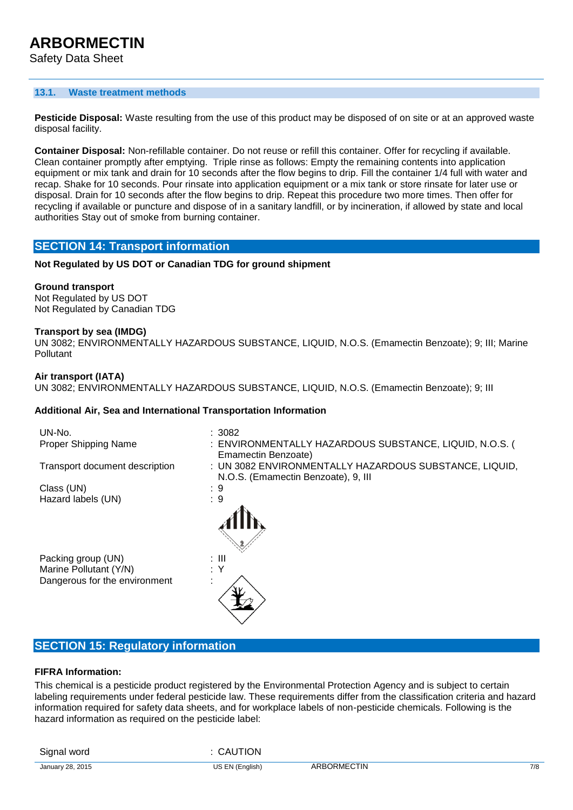#### **13.1. Waste treatment methods**

**Pesticide Disposal:** Waste resulting from the use of this product may be disposed of on site or at an approved waste disposal facility.

**Container Disposal:** Non-refillable container. Do not reuse or refill this container. Offer for recycling if available. Clean container promptly after emptying. Triple rinse as follows: Empty the remaining contents into application equipment or mix tank and drain for 10 seconds after the flow begins to drip. Fill the container 1/4 full with water and recap. Shake for 10 seconds. Pour rinsate into application equipment or a mix tank or store rinsate for later use or disposal. Drain for 10 seconds after the flow begins to drip. Repeat this procedure two more times. Then offer for recycling if available or puncture and dispose of in a sanitary landfill, or by incineration, if allowed by state and local authorities Stay out of smoke from burning container.

## **SECTION 14: Transport information**

### **Not Regulated by US DOT or Canadian TDG for ground shipment**

#### **Ground transport**

Not Regulated by US DOT Not Regulated by Canadian TDG

#### **Transport by sea (IMDG)**

UN 3082; ENVIRONMENTALLY HAZARDOUS SUBSTANCE, LIQUID, N.O.S. (Emamectin Benzoate); 9; III; Marine Pollutant

#### **Air transport (IATA)**

UN 3082; ENVIRONMENTALLY HAZARDOUS SUBSTANCE, LIQUID, N.O.S. (Emamectin Benzoate); 9; III

#### **Additional Air, Sea and International Transportation Information**

| UN-No.<br>Proper Shipping Name | :3082<br>: ENVIRONMENTALLY HAZARDOUS SUBSTANCE, LIQUID, N.O.S. (                              |
|--------------------------------|-----------------------------------------------------------------------------------------------|
|                                | Emamectin Benzoate)                                                                           |
| Transport document description | : UN 3082 ENVIRONMENTALLY HAZARDOUS SUBSTANCE, LIQUID,<br>N.O.S. (Emamectin Benzoate), 9, III |
| Class (UN)                     | : 9                                                                                           |
| Hazard labels (UN)             | : 9                                                                                           |
|                                |                                                                                               |
| Packing group (UN)             | : III                                                                                         |
| Marine Pollutant (Y/N)         | : Y                                                                                           |
| Dangerous for the environment  |                                                                                               |

## **SECTION 15: Regulatory information**

#### **FIFRA Information:**

This chemical is a pesticide product registered by the Environmental Protection Agency and is subject to certain labeling requirements under federal pesticide law. These requirements differ from the classification criteria and hazard information required for safety data sheets, and for workplace labels of non-pesticide chemicals. Following is the hazard information as required on the pesticide label:

Signal word : CAUTION